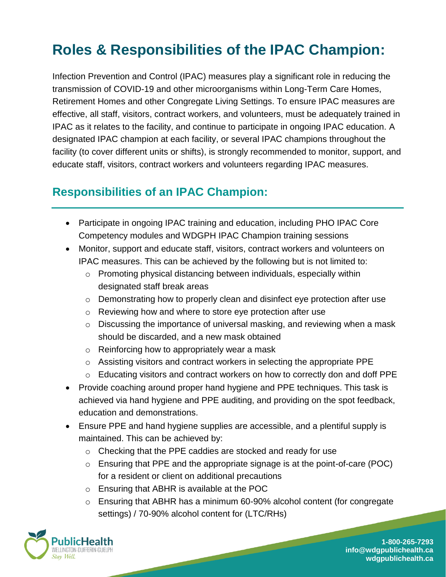# **Roles & Responsibilities of the IPAC Champion:**

Infection Prevention and Control (IPAC) measures play a significant role in reducing the transmission of COVID-19 and other microorganisms within Long-Term Care Homes, Retirement Homes and other Congregate Living Settings. To ensure IPAC measures are effective, all staff, visitors, contract workers, and volunteers, must be adequately trained in IPAC as it relates to the facility, and continue to participate in ongoing IPAC education. A designated IPAC champion at each facility, or several IPAC champions throughout the facility (to cover different units or shifts), is strongly recommended to monitor, support, and educate staff, visitors, contract workers and volunteers regarding IPAC measures.

### **Responsibilities of an IPAC Champion:**

- Participate in ongoing IPAC training and education, including PHO IPAC Core Competency modules and WDGPH IPAC Champion training sessions
- Monitor, support and educate staff, visitors, contract workers and volunteers on IPAC measures. This can be achieved by the following but is not limited to:
	- $\circ$  Promoting physical distancing between individuals, especially within designated staff break areas
	- $\circ$  Demonstrating how to properly clean and disinfect eye protection after use
	- o Reviewing how and where to store eye protection after use
	- o Discussing the importance of universal masking, and reviewing when a mask should be discarded, and a new mask obtained
	- o Reinforcing how to appropriately wear a mask
	- o Assisting visitors and contract workers in selecting the appropriate PPE
	- $\circ$  Educating visitors and contract workers on how to correctly don and doff PPE
- Provide coaching around proper hand hygiene and PPE techniques. This task is achieved via hand hygiene and PPE auditing, and providing on the spot feedback, education and demonstrations.
- Ensure PPE and hand hygiene supplies are accessible, and a plentiful supply is maintained. This can be achieved by:
	- o Checking that the PPE caddies are stocked and ready for use
	- o Ensuring that PPE and the appropriate signage is at the point-of-care (POC) for a resident or client on additional precautions
	- o Ensuring that ABHR is available at the POC
	- $\circ$  Ensuring that ABHR has a minimum 60-90% alcohol content (for congregate settings) / 70-90% alcohol content for (LTC/RHs)



**1-800-265-7293 info@wdgpublichealth.ca wdgpublichealth.ca**